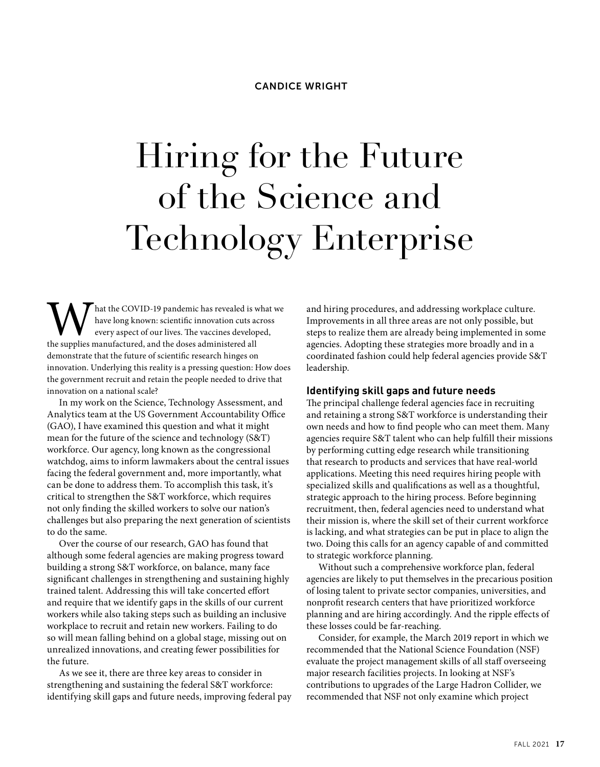# Hiring for the Future of the Science and Technology Enterprise

What the COVID-19 pandemic has revealed is what we have long known: scientific innovation cuts across every aspect of our lives. The vaccines developed, the supplies manufactured, and the doses administered all have long known: scientific innovation cuts across every aspect of our lives. The vaccines developed, demonstrate that the future of scientific research hinges on innovation. Underlying this reality is a pressing question: How does the government recruit and retain the people needed to drive that innovation on a national scale?

In my work on the Science, Technology Assessment, and Analytics team at the US Government Accountability Office (GAO), I have examined this question and what it might mean for the future of the science and technology (S&T) workforce. Our agency, long known as the congressional watchdog, aims to inform lawmakers about the central issues facing the federal government and, more importantly, what can be done to address them. To accomplish this task, it's critical to strengthen the S&T workforce, which requires not only finding the skilled workers to solve our nation's challenges but also preparing the next generation of scientists to do the same.

Over the course of our research, GAO has found that although some federal agencies are making progress toward building a strong S&T workforce, on balance, many face significant challenges in strengthening and sustaining highly trained talent. Addressing this will take concerted effort and require that we identify gaps in the skills of our current workers while also taking steps such as building an inclusive workplace to recruit and retain new workers. Failing to do so will mean falling behind on a global stage, missing out on unrealized innovations, and creating fewer possibilities for the future.

As we see it, there are three key areas to consider in strengthening and sustaining the federal S&T workforce: identifying skill gaps and future needs, improving federal pay and hiring procedures, and addressing workplace culture. Improvements in all three areas are not only possible, but steps to realize them are already being implemented in some agencies. Adopting these strategies more broadly and in a coordinated fashion could help federal agencies provide S&T leadership.

#### **Identifying skill gaps and future needs**

The principal challenge federal agencies face in recruiting and retaining a strong S&T workforce is understanding their own needs and how to find people who can meet them. Many agencies require S&T talent who can help fulfill their missions by performing cutting edge research while transitioning that research to products and services that have real-world applications. Meeting this need requires hiring people with specialized skills and qualifications as well as a thoughtful, strategic approach to the hiring process. Before beginning recruitment, then, federal agencies need to understand what their mission is, where the skill set of their current workforce is lacking, and what strategies can be put in place to align the two. Doing this calls for an agency capable of and committed to strategic workforce planning.

Without such a comprehensive workforce plan, federal agencies are likely to put themselves in the precarious position of losing talent to private sector companies, universities, and nonprofit research centers that have prioritized workforce planning and are hiring accordingly. And the ripple effects of these losses could be far-reaching.

Consider, for example, the March 2019 report in which we recommended that the National Science Foundation (NSF) evaluate the project management skills of all staff overseeing major research facilities projects. In looking at NSF's contributions to upgrades of the Large Hadron Collider, we recommended that NSF not only examine which project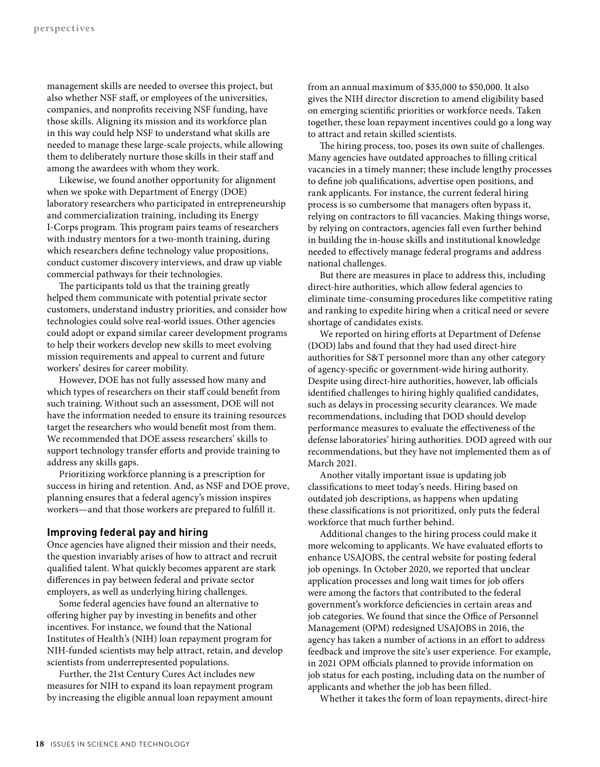management skills are needed to oversee this project, but also whether NSF staff, or employees of the universities, companies, and nonprofits receiving NSF funding, have those skills. Aligning its mission and its workforce plan in this way could help NSF to understand what skills are needed to manage these large-scale projects, while allowing them to deliberately nurture those skills in their staff and among the awardees with whom they work.

Likewise, we found another opportunity for alignment when we spoke with Department of Energy (DOE) laboratory researchers who participated in entrepreneurship and commercialization training, including its Energy I-Corps program. This program pairs teams of researchers with industry mentors for a two-month training, during which researchers define technology value propositions, conduct customer discovery interviews, and draw up viable commercial pathways for their technologies.

The participants told us that the training greatly helped them communicate with potential private sector customers, understand industry priorities, and consider how technologies could solve real-world issues. Other agencies could adopt or expand similar career development programs to help their workers develop new skills to meet evolving mission requirements and appeal to current and future workers' desires for career mobility.

However, DOE has not fully assessed how many and which types of researchers on their staff could benefit from such training. Without such an assessment, DOE will not have the information needed to ensure its training resources target the researchers who would benefit most from them. We recommended that DOE assess researchers' skills to support technology transfer efforts and provide training to address any skills gaps.

Prioritizing workforce planning is a prescription for success in hiring and retention. And, as NSF and DOE prove, planning ensures that a federal agency's mission inspires workers—and that those workers are prepared to fulfill it.

### **Improving federal pay and hiring**

Once agencies have aligned their mission and their needs, the question invariably arises of how to attract and recruit qualified talent. What quickly becomes apparent are stark differences in pay between federal and private sector employers, as well as underlying hiring challenges.

Some federal agencies have found an alternative to offering higher pay by investing in benefits and other incentives. For instance, we found that the National Institutes of Health's (NIH) loan repayment program for NIH-funded scientists may help attract, retain, and develop scientists from underrepresented populations.

Further, the 21st Century Cures Act includes new measures for NIH to expand its loan repayment program by increasing the eligible annual loan repayment amount from an annual maximum of \$35,000 to \$50,000. It also gives the NIH director discretion to amend eligibility based on emerging scientific priorities or workforce needs. Taken together, these loan repayment incentives could go a long way to attract and retain skilled scientists.

The hiring process, too, poses its own suite of challenges. Many agencies have outdated approaches to filling critical vacancies in a timely manner; these include lengthy processes to define job qualifications, advertise open positions, and rank applicants. For instance, the current federal hiring process is so cumbersome that managers often bypass it, relying on contractors to fill vacancies. Making things worse, by relying on contractors, agencies fall even further behind in building the in-house skills and institutional knowledge needed to effectively manage federal programs and address national challenges.

But there are measures in place to address this, including direct-hire authorities, which allow federal agencies to eliminate time-consuming procedures like competitive rating and ranking to expedite hiring when a critical need or severe shortage of candidates exists.

We reported on hiring efforts at Department of Defense (DOD) labs and found that they had used direct-hire authorities for S&T personnel more than any other category of agency-specific or government-wide hiring authority. Despite using direct-hire authorities, however, lab officials identified challenges to hiring highly qualified candidates, such as delays in processing security clearances. We made recommendations, including that DOD should develop performance measures to evaluate the effectiveness of the defense laboratories' hiring authorities. DOD agreed with our recommendations, but they have not implemented them as of March 2021.

Another vitally important issue is updating job classifications to meet today's needs. Hiring based on outdated job descriptions, as happens when updating these classifications is not prioritized, only puts the federal workforce that much further behind.

Additional changes to the hiring process could make it more welcoming to applicants. We have evaluated efforts to enhance USAJOBS, the central website for posting federal job openings. In October 2020, we reported that unclear application processes and long wait times for job offers were among the factors that contributed to the federal government's workforce deficiencies in certain areas and job categories. We found that since the Office of Personnel Management (OPM) redesigned USAJOBS in 2016, the agency has taken a number of actions in an effort to address feedback and improve the site's user experience. For example, in 2021 OPM officials planned to provide information on job status for each posting, including data on the number of applicants and whether the job has been filled.

Whether it takes the form of loan repayments, direct-hire